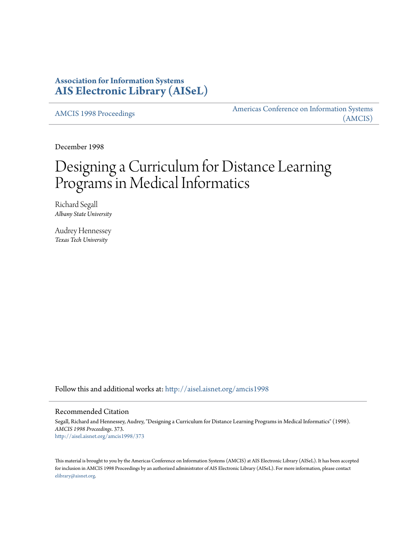## **Association for Information Systems [AIS Electronic Library \(AISeL\)](http://aisel.aisnet.org?utm_source=aisel.aisnet.org%2Famcis1998%2F373&utm_medium=PDF&utm_campaign=PDFCoverPages)**

[AMCIS 1998 Proceedings](http://aisel.aisnet.org/amcis1998?utm_source=aisel.aisnet.org%2Famcis1998%2F373&utm_medium=PDF&utm_campaign=PDFCoverPages)

[Americas Conference on Information Systems](http://aisel.aisnet.org/amcis?utm_source=aisel.aisnet.org%2Famcis1998%2F373&utm_medium=PDF&utm_campaign=PDFCoverPages) [\(AMCIS\)](http://aisel.aisnet.org/amcis?utm_source=aisel.aisnet.org%2Famcis1998%2F373&utm_medium=PDF&utm_campaign=PDFCoverPages)

December 1998

# Designing a Curriculum for Distance Learning Programs in Medical Informatics

Richard Segall *Albany State University*

Audrey Hennessey *Texas Tech University*

Follow this and additional works at: [http://aisel.aisnet.org/amcis1998](http://aisel.aisnet.org/amcis1998?utm_source=aisel.aisnet.org%2Famcis1998%2F373&utm_medium=PDF&utm_campaign=PDFCoverPages)

#### Recommended Citation

Segall, Richard and Hennessey, Audrey, "Designing a Curriculum for Distance Learning Programs in Medical Informatics" (1998). *AMCIS 1998 Proceedings*. 373. [http://aisel.aisnet.org/amcis1998/373](http://aisel.aisnet.org/amcis1998/373?utm_source=aisel.aisnet.org%2Famcis1998%2F373&utm_medium=PDF&utm_campaign=PDFCoverPages)

This material is brought to you by the Americas Conference on Information Systems (AMCIS) at AIS Electronic Library (AISeL). It has been accepted for inclusion in AMCIS 1998 Proceedings by an authorized administrator of AIS Electronic Library (AISeL). For more information, please contact [elibrary@aisnet.org.](mailto:elibrary@aisnet.org%3E)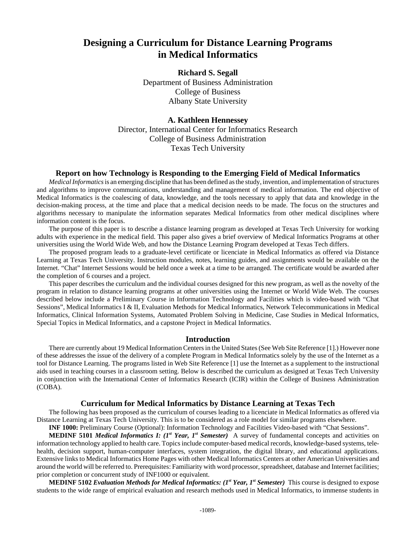## **Designing a Curriculum for Distance Learning Programs in Medical Informatics**

**Richard S. Segall** Department of Business Administration College of Business Albany State University

**A. Kathleen Hennessey** Director, International Center for Informatics Research College of Business Administration Texas Tech University

### **Report on how Technology is Responding to the Emerging Field of Medical Informatics**

*Medical Informatics* is an emerging discipline that has been defined as the study, invention, and implementation of structures and algorithms to improve communications, understanding and management of medical information. The end objective of Medical Informatics is the coalescing of data, knowledge, and the tools necessary to apply that data and knowledge in the decision-making process, at the time and place that a medical decision needs to be made. The focus on the structures and algorithms necessary to manipulate the information separates Medical Informatics from other medical disciplines where information content is the focus.

The purpose of this paper is to describe a distance learning program as developed at Texas Tech University for working adults with experience in the medical field. This paper also gives a brief overview of Medical Informatics Programs at other universities using the World Wide Web, and how the Distance Learning Program developed at Texas Tech differs.

The proposed program leads to a graduate-level certificate or licenciate in Medical Informatics as offered via Distance Learning at Texas Tech University. Instruction modules, notes, learning guides, and assignments would be available on the Internet. "Chat" Internet Sessions would be held once a week at a time to be arranged. The certificate would be awarded after the completion of 6 courses and a project.

This paper describes the curriculum and the individual courses designed for this new program, as well as the novelty of the program in relation to distance learning programs at other universities using the Internet or World Wide Web. The courses described below include a Preliminary Course in Information Technology and Facilities which is video-based with "Chat Sessions", Medical Informatics I & II, Evaluation Methods for Medical Informatics, Network Telecommunications in Medical Informatics, Clinical Information Systems, Automated Problem Solving in Medicine, Case Studies in Medical Informatics, Special Topics in Medical Informatics, and a capstone Project in Medical Informatics.

#### **Introduction**

There are currently about 19 Medical Information Centers in the United States (See Web Site Reference [1].) However none of these addresses the issue of the delivery of a complete Program in Medical Informatics solely by the use of the Internet as a tool for Distance Learning. The programs listed in Web Site Reference [1] use the Internet as a supplement to the instructional aids used in teaching courses in a classroom setting. Below is described the curriculum as designed at Texas Tech University in conjunction with the International Center of Informatics Research (ICIR) within the College of Business Administration (COBA).

#### **Curriculum for Medical Informatics by Distance Learning at Texas Tech**

The following has been proposed as the curriculum of courses leading to a licenciate in Medical Informatics as offered via Distance Learning at Texas Tech University. This is to be considered as a role model for similar programs elsewhere.

**INF 1000:** Preliminary Course (Optional): Information Technology and Facilities Video-based with "Chat Sessions".

**MEDINF 5101** *Medical Informatics I: (1st Year, 1st Semester)* A survey of fundamental concepts and activities on information technology applied to health care. Topics include computer-based medical records, knowledge-based systems, telehealth, decision support, human-computer interfaces, system integration, the digital library, and educational applications. Extensive links to Medical Informatics Home Pages with other Medical Informatics Centers at other American Universities and around the world will be referred to. Prerequisites: Familiarity with word processor, spreadsheet, database and Internet facilities; prior completion or concurrent study of INF1000 or equivalent.

**MEDINF 5102** *Evaluation Methods for Medical Informatics:* **(1st Year, 1st Semester)** This course is designed to expose students to the wide range of empirical evaluation and research methods used in Medical Informatics, to immense students in